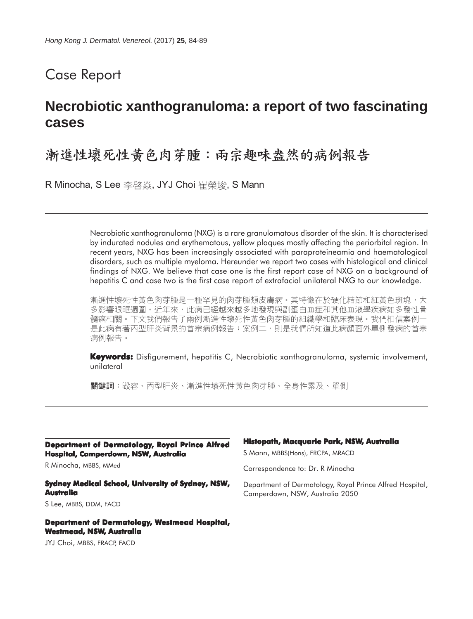## Case Report

# **Necrobiotic xanthogranuloma: a report of two fascinating cases**

## 漸進性壞死性黃色肉芽腫:兩宗趣味盎然的病例報告

R Minocha, S Lee 李啓焱, JYJ Choi 崔榮埈, S Mann

Necrobiotic xanthogranuloma (NXG) is a rare granulomatous disorder of the skin. It is characterised by indurated nodules and erythematous, yellow plaques mostly affecting the periorbital region. In recent years, NXG has been increasingly associated with paraproteineamia and haematological disorders, such as multiple myeloma. Hereunder we report two cases with histological and clinical findings of NXG. We believe that case one is the first report case of NXG on a background of hepatitis C and case two is the first case report of extrafacial unilateral NXG to our knowledge.

漸進性壞死性黃色肉芽腫是一種罕見的肉芽腫類皮膚病。其特徵在於硬化結節和紅黃色斑塊,大 多影響眼眶週圍。近年來,此病已經越來越多地發現與副蛋白血症和其他血液學疾病如多發性骨 髓癌相關。下文我們報告了兩例漸進性壞死性黃色肉芽腫的組織學和臨床表現。我們相信案例一 是此病有著丙型肝炎背景的首宗病例報告;案例二,則是我們所知道此病顏面外單側發病的首宗 病例報告。

**Keywords:** Disfigurement, hepatitis C, Necrobiotic xanthogranuloma, systemic involvement, unilateral

關鍵詞:毀容、丙型肝炎、漸進性壞死性黃色肉芽腫、全身性累及、單側

**Department of Dermatology, Royal Prince Alfred Hospital, Camperdown, NSW, Australia**

R Minocha, MBBS, MMed

#### **Sydney Medical School, University of Sydney, NSW, Australia**

S Lee, MBBS, DDM, FACD

#### **Department of Dermatology, Westmead Hospital, Westmead, NSW, Australia**

JYJ Choi, MBBS, FRACP, FACD

#### **Histopath, Macquarie Park, NSW, Australia**

S Mann, MBBS(Hons), FRCPA, MRACD

Correspondence to: Dr. R Minocha

Department of Dermatology, Royal Prince Alfred Hospital, Camperdown, NSW, Australia 2050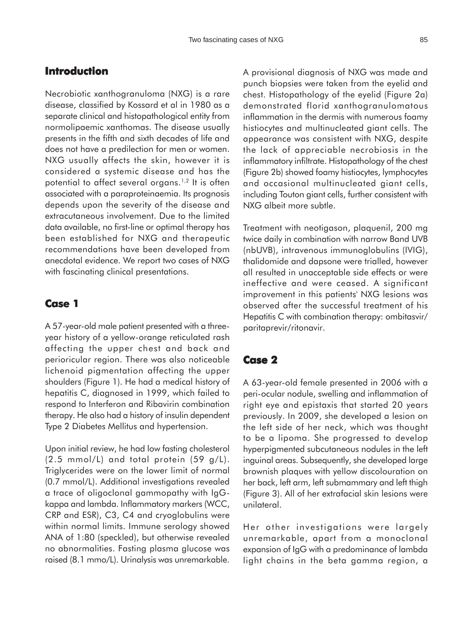### **Introduction**

Necrobiotic xanthogranuloma (NXG) is a rare disease, classified by Kossard et al in 1980 as a separate clinical and histopathological entity from normolipaemic xanthomas. The disease usually presents in the fifth and sixth decades of life and does not have a predilection for men or women. NXG usually affects the skin, however it is considered a systemic disease and has the potential to affect several organs.<sup>1,2</sup> It is often associated with a paraproteinaemia. Its prognosis depends upon the severity of the disease and extracutaneous involvement. Due to the limited data available, no first-line or optimal therapy has been established for NXG and therapeutic recommendations have been developed from anecdotal evidence. We report two cases of NXG with fascinating clinical presentations.

### **Case 1**

A 57-year-old male patient presented with a threeyear history of a yellow-orange reticulated rash affecting the upper chest and back and perioricular region. There was also noticeable lichenoid pigmentation affecting the upper shoulders (Figure 1). He had a medical history of hepatitis C, diagnosed in 1999, which failed to respond to Interferon and Ribavirin combination therapy. He also had a history of insulin dependent Type 2 Diabetes Mellitus and hypertension.

Upon initial review, he had low fasting cholesterol (2.5 mmol/L) and total protein (59 g/L). Triglycerides were on the lower limit of normal (0.7 mmol/L). Additional investigations revealed a trace of oligoclonal gammopathy with IgGkappa and lambda. Inflammatory markers (WCC, CRP and ESR), C3, C4 and cryoglobulins were within normal limits. Immune serology showed ANA of 1:80 (speckled), but otherwise revealed no abnormalities. Fasting plasma glucose was raised (8.1 mmo/L). Urinalysis was unremarkable. A provisional diagnosis of NXG was made and punch biopsies were taken from the eyelid and chest. Histopathology of the eyelid (Figure 2a) demonstrated florid xanthogranulomatous inflammation in the dermis with numerous foamy histiocytes and multinucleated giant cells. The appearance was consistent with NXG, despite the lack of appreciable necrobiosis in the inflammatory infiltrate. Histopathology of the chest (Figure 2b) showed foamy histiocytes, lymphocytes and occasional multinucleated giant cells, including Touton giant cells, further consistent with NXG albeit more subtle.

Treatment with neotigason, plaquenil, 200 mg twice daily in combination with narrow Band UVB (nbUVB), intravenous immunoglobulins (IVIG), thalidomide and dapsone were trialled, however all resulted in unacceptable side effects or were ineffective and were ceased. A significant improvement in this patients' NXG lesions was observed after the successful treatment of his Hepatitis C with combination therapy: ombitasvir/ paritaprevir/ritonavir.

### **Case 2**

A 63-year-old female presented in 2006 with a peri-ocular nodule, swelling and inflammation of right eye and epistaxis that started 20 years previously. In 2009, she developed a lesion on the left side of her neck, which was thought to be a lipoma. She progressed to develop hyperpigmented subcutaneous nodules in the left inguinal areas. Subsequently, she developed large brownish plaques with yellow discolouration on her back, left arm, left submammary and left thigh (Figure 3). All of her extrafacial skin lesions were unilateral.

Her other investigations were largely unremarkable, apart from a monoclonal expansion of IgG with a predominance of lambda light chains in the beta gamma region, a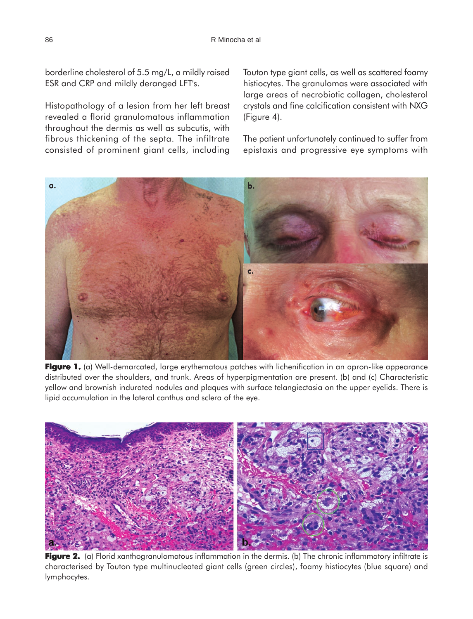borderline cholesterol of 5.5 mg/L, a mildly raised ESR and CRP and mildly deranged LFT's.

Histopathology of a lesion from her left breast revealed a florid granulomatous inflammation throughout the dermis as well as subcutis, with fibrous thickening of the septa. The infiltrate consisted of prominent giant cells, including Touton type giant cells, as well as scattered foamy histiocytes. The granulomas were associated with large areas of necrobiotic collagen, cholesterol crystals and fine calcification consistent with NXG (Figure 4).

The patient unfortunately continued to suffer from epistaxis and progressive eye symptoms with



**Figure 1.** (a) Well-demarcated, large erythematous patches with lichenification in an apron-like appearance distributed over the shoulders, and trunk. Areas of hyperpigmentation are present. (b) and (c) Characteristic yellow and brownish indurated nodules and plaques with surface telangiectasia on the upper eyelids. There is lipid accumulation in the lateral canthus and sclera of the eye.



**Figure 2.** (a) Florid xanthogranulomatous inflammation in the dermis. (b) The chronic inflammatory infiltrate is characterised by Touton type multinucleated giant cells (green circles), foamy histiocytes (blue square) and lymphocytes.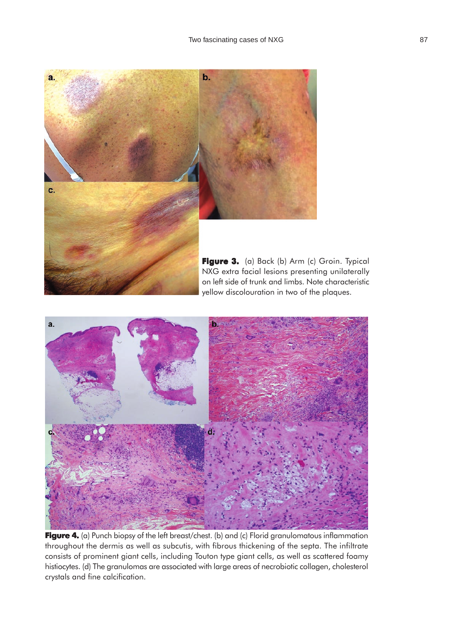

a.

**Figure 4.** (a) Punch biopsy of the left breast/chest. (b) and (c) Florid granulomatous inflammation throughout the dermis as well as subcutis, with fibrous thickening of the septa. The infiltrate consists of prominent giant cells, including Touton type giant cells, as well as scattered foamy histiocytes. (d) The granulomas are associated with large areas of necrobiotic collagen, cholesterol crystals and fine calcification.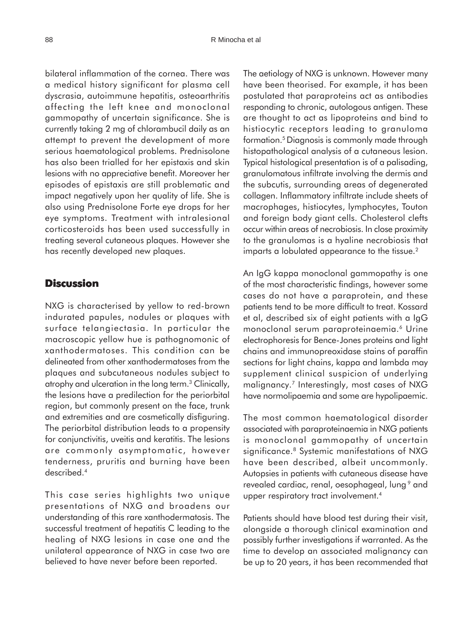bilateral inflammation of the cornea. There was a medical history significant for plasma cell dyscrasia, autoimmune hepatitis, osteoarthritis affecting the left knee and monoclonal gammopathy of uncertain significance. She is currently taking 2 mg of chlorambucil daily as an attempt to prevent the development of more serious haematological problems. Prednisolone has also been trialled for her epistaxis and skin lesions with no appreciative benefit. Moreover her episodes of epistaxis are still problematic and impact negatively upon her quality of life. She is also using Prednisolone Forte eye drops for her eye symptoms. Treatment with intralesional corticosteroids has been used successfully in treating several cutaneous plaques. However she has recently developed new plaques.

#### **Discussion**

NXG is characterised by yellow to red-brown indurated papules, nodules or plaques with surface telangiectasia. In particular the macroscopic yellow hue is pathognomonic of xanthodermatoses. This condition can be delineated from other xanthodermatoses from the plaques and subcutaneous nodules subject to atrophy and ulceration in the long term.3 Clinically, the lesions have a predilection for the periorbital region, but commonly present on the face, trunk and extremities and are cosmetically disfiguring. The periorbital distribution leads to a propensity for conjunctivitis, uveitis and keratitis. The lesions are commonly asymptomatic, however tenderness, pruritis and burning have been described.4

This case series highlights two unique presentations of NXG and broadens our understanding of this rare xanthodermatosis. The successful treatment of hepatitis C leading to the healing of NXG lesions in case one and the unilateral appearance of NXG in case two are believed to have never before been reported.

The aetiology of NXG is unknown. However many have been theorised. For example, it has been postulated that paraproteins act as antibodies responding to chronic, autologous antigen. These are thought to act as lipoproteins and bind to histiocytic receptors leading to granuloma formation.5 Diagnosis is commonly made through histopathological analysis of a cutaneous lesion. Typical histological presentation is of a palisading, granulomatous infiltrate involving the dermis and the subcutis, surrounding areas of degenerated collagen. Inflammatory infiltrate include sheets of macrophages, histiocytes, lymphocytes, Touton and foreign body giant cells. Cholesterol clefts occur within areas of necrobiosis. In close proximity to the granulomas is a hyaline necrobiosis that imparts a lobulated appearance to the tissue.<sup>2</sup>

An IgG kappa monoclonal gammopathy is one of the most characteristic findings, however some cases do not have a paraprotein, and these patients tend to be more difficult to treat. Kossard et al, described six of eight patients with a IgG monoclonal serum paraproteinaemia.<sup>6</sup> Urine electrophoresis for Bence-Jones proteins and light chains and immunopreoxidase stains of paraffin sections for light chains, kappa and lambda may supplement clinical suspicion of underlying malignancy.7 Interestingly, most cases of NXG have normolipaemia and some are hypolipaemic.

The most common haematological disorder associated with paraproteinaemia in NXG patients is monoclonal gammopathy of uncertain significance.<sup>8</sup> Systemic manifestations of NXG have been described, albeit uncommonly. Autopsies in patients with cutaneous disease have revealed cardiac, renal, oesophageal, lung<sup>9</sup> and upper respiratory tract involvement.<sup>4</sup>

Patients should have blood test during their visit, alongside a thorough clinical examination and possibly further investigations if warranted. As the time to develop an associated malignancy can be up to 20 years, it has been recommended that